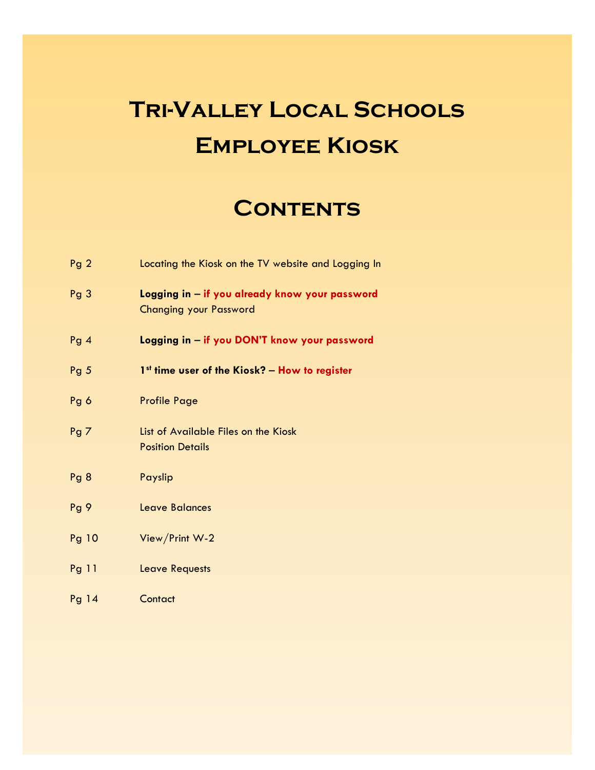# **Tri-Valley Local Schools Employee Kiosk**

# **CONTENTS**

| Pg2             | Locating the Kiosk on the TV website and Logging In                             |
|-----------------|---------------------------------------------------------------------------------|
| Pg <sub>3</sub> | Logging in - if you already know your password<br><b>Changing your Password</b> |
| Pg 4            | Logging in - if you DON'T know your password                                    |
| Pg <sub>5</sub> | 1st time user of the Kiosk? - How to register                                   |
| Pg6             | <b>Profile Page</b>                                                             |
| Pg <sub>7</sub> | List of Available Files on the Kiosk<br><b>Position Details</b>                 |
| Pg8             | Payslip                                                                         |
| Pg9             | <b>Leave Balances</b>                                                           |
| Pg 10           | View/Print W-2                                                                  |
| Pg 11           | <b>Leave Requests</b>                                                           |
| Pg 14           | Contact                                                                         |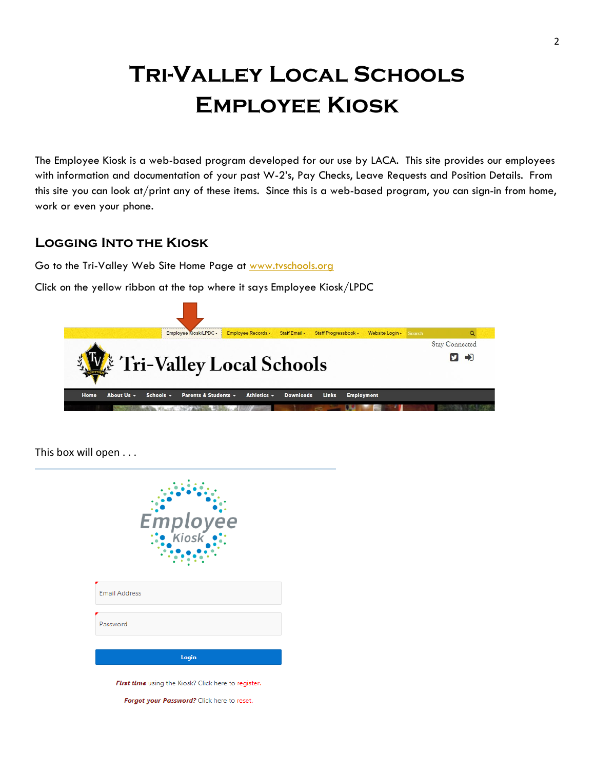# **Tri-Valley Local Schools Employee Kiosk**

The Employee Kiosk is a web-based program developed for our use by LACA. This site provides our employees with information and documentation of your past W-2's, Pay Checks, Leave Requests and Position Details. From this site you can look at/print any of these items. Since this is a web-based program, you can sign-in from home, work or even your phone.

## **Logging Into the Kiosk**

Go to the Tri-Valley Web Site Home Page at [www.tvschools.org](http://www.tvschools.org/)

Click on the yellow ribbon at the top where it says Employee Kiosk/LPDC

|      |            |                | Employee Kiosk/LPDC - | <b>Employee Records -</b> | <b>Staff Email -</b> | <b>Staff Progressbook -</b> |                   | Website Login - Search |                       |  |
|------|------------|----------------|-----------------------|---------------------------|----------------------|-----------------------------|-------------------|------------------------|-----------------------|--|
|      |            |                |                       |                           |                      |                             |                   |                        | <b>Stay Connected</b> |  |
|      |            |                |                       | Tri-Valley Local Schools  |                      |                             |                   |                        | $\rightarrow$         |  |
| Home | About Us - | Schools $\sim$ | Parents & Students +  | Athletics $\sim$          | <b>Downloads</b>     | <b>Links</b>                | <b>Employment</b> |                        |                       |  |
|      |            |                |                       |                           |                      |                             |                   |                        |                       |  |

This box will open . . .

| Employee                                            |  |
|-----------------------------------------------------|--|
| <b>Email Address</b>                                |  |
| Password                                            |  |
| Login                                               |  |
| First time using the Kiosk? Click here to register. |  |
| Forgot your Password? Click here to reset.          |  |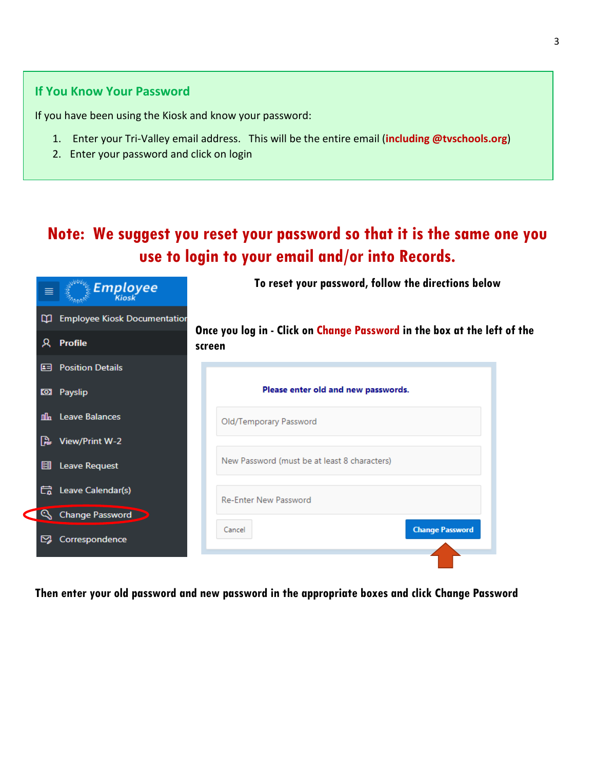## **If You Know Your Password**

If you have been using the Kiosk and know your password:

- 1. Enter your Tri-Valley email address. This will be the entire email (**including @tvschools.org**)
- 2. Enter your password and click on login

# **Note: We suggest you reset your password so that it is the same one you use to login to your email and/or into Records.**

| 丰            | <b>Employee</b><br>Kiosk            | To reset your password, follow the directions below                      |
|--------------|-------------------------------------|--------------------------------------------------------------------------|
| ◫            | <b>Employee Kiosk Documentation</b> | Once you log in - Click on Change Password in the box at the left of the |
| Ջ            | <b>Profile</b>                      | screen                                                                   |
| 모리           | <b>Position Details</b>             |                                                                          |
| <b>ROS</b>   | Payslip                             | Please enter old and new passwords.                                      |
| nilo.        | <b>Leave Balances</b>               | Old/Temporary Password                                                   |
|              | Pullet View/Print W-2               |                                                                          |
| 圉            | Leave Request                       | New Password (must be at least 8 characters)                             |
| 口。           | Leave Calendar(s)                   | <b>Re-Enter New Password</b>                                             |
| $\mathbb{C}$ | Change Password                     |                                                                          |
| ⊵            | Correspondence                      | <b>Change Password</b><br>Cancel                                         |
|              |                                     |                                                                          |

**Then enter your old password and new password in the appropriate boxes and click Change Password**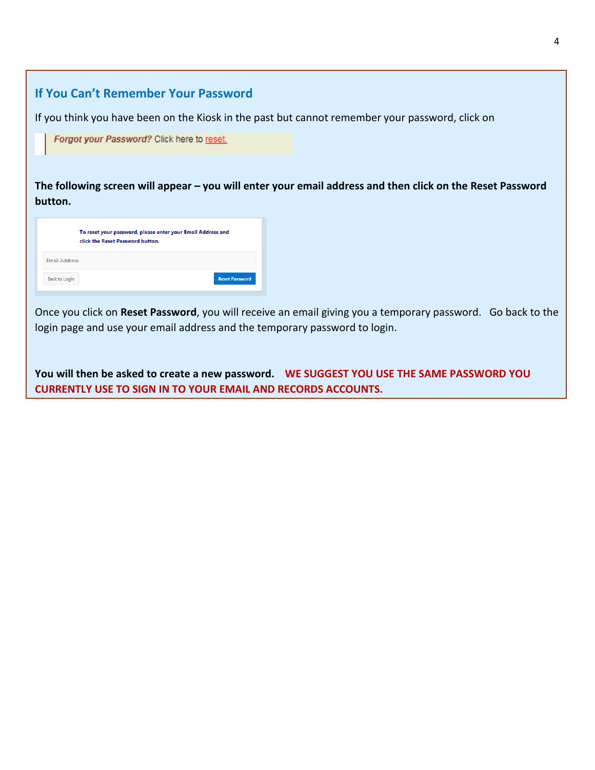| If You Can't Remember Your Password                                                                                                                                                       |
|-------------------------------------------------------------------------------------------------------------------------------------------------------------------------------------------|
| If you think you have been on the Kiosk in the past but cannot remember your password, click on                                                                                           |
| Forgot your Password? Click here to reset.                                                                                                                                                |
| The following screen will appear - you will enter your email address and then click on the Reset Password<br>button.                                                                      |
| To reset your password, please enter your Email Address and<br>click the Reset Password button.                                                                                           |
| <b>Email Address</b><br><b>Reset Password</b><br><b>Back to Login</b>                                                                                                                     |
| Once you click on Reset Password, you will receive an email giving you a temporary password. Go back to the<br>login page and use your email address and the temporary password to login. |

**You will then be asked to create a new password. WE SUGGEST YOU USE THE SAME PASSWORD YOU CURRENTLY USE TO SIGN IN TO YOUR EMAIL AND RECORDS ACCOUNTS.**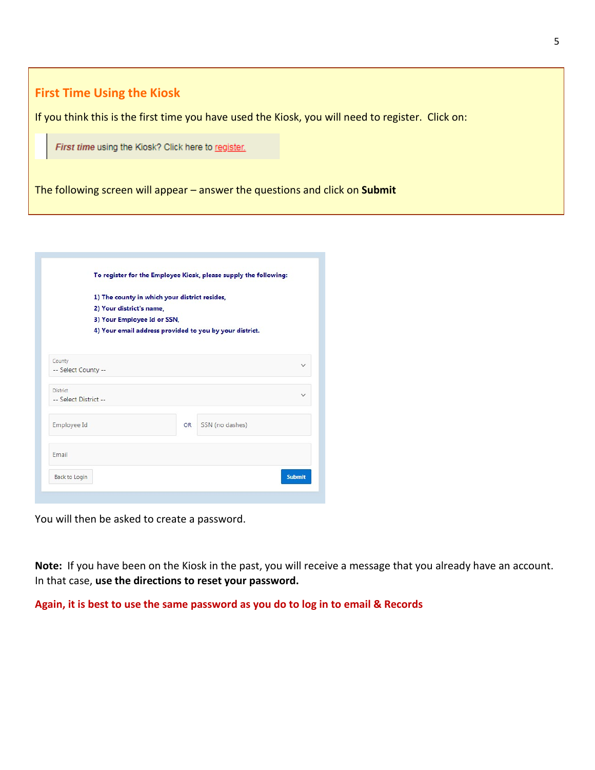| <b>First Time Using the Kiosk</b><br>If you think this is the first time you have used the Kiosk, you will need to register. Click on: |
|----------------------------------------------------------------------------------------------------------------------------------------|
| First time using the Kiosk? Click here to register.                                                                                    |
| The following screen will appear $-$ answer the questions and click on <b>Submit</b>                                                   |

|                                               |           | To register for the Employee Kiosk, please supply the following: |
|-----------------------------------------------|-----------|------------------------------------------------------------------|
| 1) The county in which your district resides, |           |                                                                  |
| 2) Your district's name,                      |           |                                                                  |
| 3) Your Employee Id or SSN,                   |           |                                                                  |
|                                               |           | 4) Your email address provided to you by your district.          |
|                                               |           |                                                                  |
| County<br>-- Select County --                 |           |                                                                  |
| District<br>-- Select District --             |           | $\checkmark$                                                     |
| Employee Id                                   | <b>OR</b> | SSN (no dashes)                                                  |
| Email                                         |           |                                                                  |
| Back to Login                                 |           | <b>Submit</b>                                                    |

You will then be asked to create a password.

**Note:** If you have been on the Kiosk in the past, you will receive a message that you already have an account. In that case, **use the directions to reset your password.**

**Again, it is best to use the same password as you do to log in to email & Records**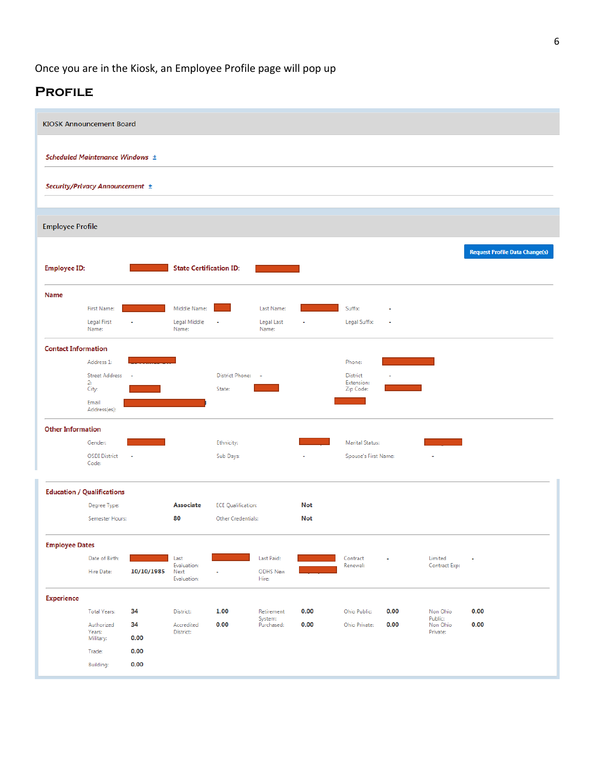Once you are in the Kiosk, an Employee Profile page will pop up

### **Profile**

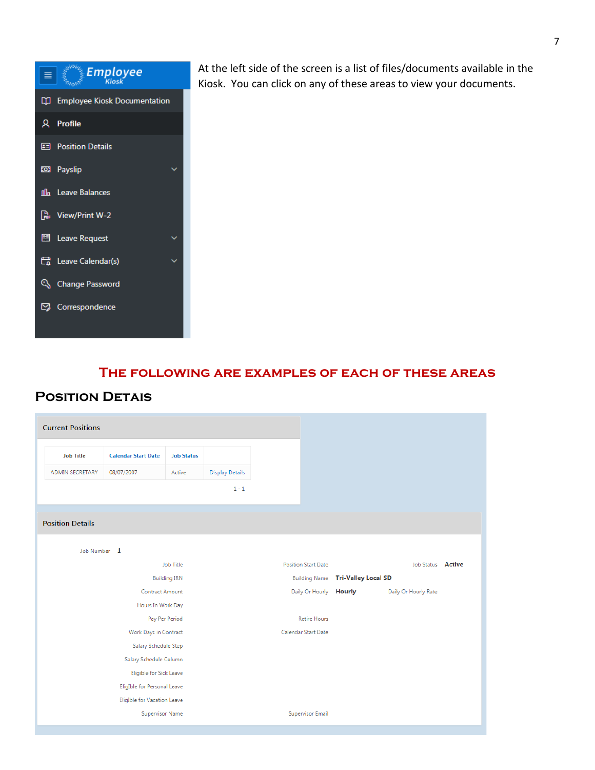

At the left side of the screen is a list of files/documents available in the Kiosk. You can click on any of these areas to view your documents.

# **The following are examples of each of these areas**

| <b>Current Positions</b> |                             |                     |                        |                            |                        |                                          |                          |
|--------------------------|-----------------------------|---------------------|------------------------|----------------------------|------------------------|------------------------------------------|--------------------------|
| <b>Job Title</b>         | <b>Calendar Start Date</b>  | <b>Job Status</b>   |                        |                            |                        |                                          |                          |
| <b>ADMIN SECRETARY</b>   | 08/07/2007                  | Active              | <b>Display Details</b> |                            |                        |                                          |                          |
|                          |                             |                     | $1 - 1$                |                            |                        |                                          |                          |
|                          |                             |                     |                        |                            |                        |                                          |                          |
| <b>Position Details</b>  |                             |                     |                        |                            |                        |                                          |                          |
|                          |                             |                     |                        |                            |                        |                                          |                          |
| Job Number 1             |                             |                     |                        |                            |                        |                                          |                          |
|                          |                             | <b>Job Title</b>    |                        | <b>Position Start Date</b> |                        |                                          | Job Status <b>Active</b> |
|                          |                             | <b>Building IRN</b> |                        |                            |                        | <b>Building Name Tri-Valley Local SD</b> |                          |
|                          | <b>Contract Amount</b>      |                     |                        |                            | Daily Or Hourly Hourly |                                          | Daily Or Hourly Rate     |
|                          | Hours In Work Day           |                     |                        |                            |                        |                                          |                          |
|                          |                             | Pay Per Period      |                        |                            | <b>Retire Hours</b>    |                                          |                          |
|                          | Work Days in Contract       |                     |                        | Calendar Start Date        |                        |                                          |                          |
|                          | Salary Schedule Step        |                     |                        |                            |                        |                                          |                          |
|                          | Salary Schedule Column      |                     |                        |                            |                        |                                          |                          |
|                          | Eligible for Sick Leave     |                     |                        |                            |                        |                                          |                          |
|                          | EligIble for Personal Leave |                     |                        |                            |                        |                                          |                          |
|                          |                             |                     |                        |                            |                        |                                          |                          |
|                          | EligIble for Vacation Leave |                     |                        |                            |                        |                                          |                          |

# **POSITION DETAIS**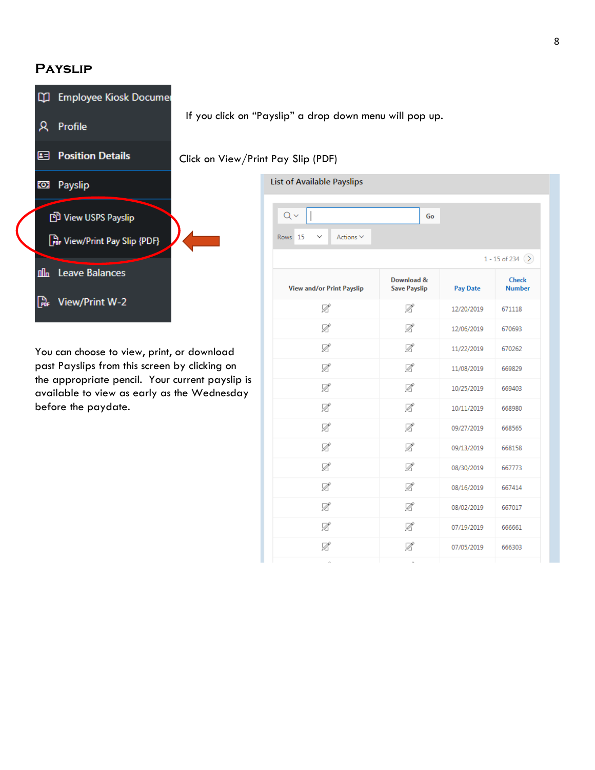### **Payslip**



You can choose to view, print, or download past Payslips from this screen by clicking on the appropriate pencil. Your current payslip is available to view as early as the Wednesday before the paydate.

If you click on "Payslip" a drop down menu will pop up.

#### Click on View/Print Pay Slip (PDF)

| <b>List of Available Payslips</b>   |                                   |                 |                               |
|-------------------------------------|-----------------------------------|-----------------|-------------------------------|
|                                     |                                   |                 |                               |
| $Q \vee$                            | Go                                |                 |                               |
| Actions $\vee$<br>15<br><b>Rows</b> |                                   |                 |                               |
|                                     |                                   |                 | 1 - 15 of 234 $( )$           |
| View and/or Print Payslip           | Download &<br><b>Save Payslip</b> | <b>Pay Date</b> | <b>Check</b><br><b>Number</b> |
| Ø                                   | Ø                                 | 12/20/2019      | 671118                        |
| Ø                                   | Ø                                 | 12/06/2019      | 670693                        |
| V                                   | Ø,                                | 11/22/2019      | 670262                        |
| Ø                                   | Ø                                 | 11/08/2019      | 669829                        |
| Ø                                   | Ø                                 | 10/25/2019      | 669403                        |
| Ø                                   | Ø                                 | 10/11/2019      | 668980                        |
| Ø                                   | Ø                                 | 09/27/2019      | 668565                        |
| Ø                                   | Ø                                 | 09/13/2019      | 668158                        |
| Ø                                   | Ø                                 | 08/30/2019      | 667773                        |
| Ø                                   | Ø                                 | 08/16/2019      | 667414                        |
| Ø                                   | Ø                                 | 08/02/2019      | 667017                        |
| Ø                                   | Ø                                 | 07/19/2019      | 666661                        |
| Ú,                                  | Ø                                 | 07/05/2019      | 666303                        |
| ×,                                  |                                   |                 |                               |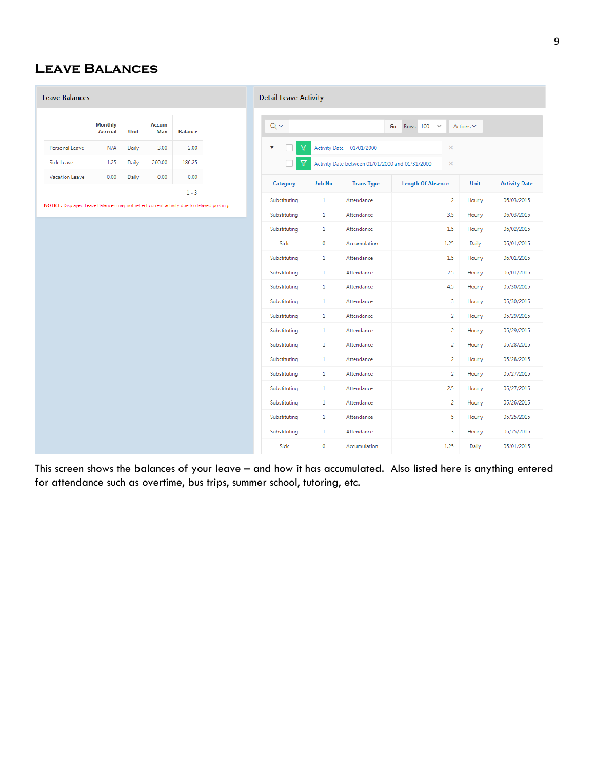# **Leave Balances**

| <b>Leave Balances</b>                                                                     |                                  |       |              |                | <b>Detail Leave Activ</b>    |
|-------------------------------------------------------------------------------------------|----------------------------------|-------|--------------|----------------|------------------------------|
|                                                                                           | <b>Monthly</b><br><b>Accrual</b> | Unit  | Accum<br>Max | <b>Balance</b> | $Q \vee$                     |
| Personal Leave                                                                            | N/A                              | Daily | 3.00         | 2.00           | $\overline{\mathbb{Y}}$      |
| Sick Leave                                                                                | 1.25                             | Daily | 260.00       | 186.25         | $\overline{\mathbf{Y}}$      |
| Vacation Leave                                                                            | 0.00                             | Daily | 0.00         | 0.00           | Category                     |
| NOTICE: Displayed Leave Balances may not reflect current activity due to delayed posting. |                                  |       |              | $1 - 3$        | Substituting<br>Substituting |
|                                                                                           |                                  |       |              |                | Substituting                 |
|                                                                                           |                                  |       |              |                | Sick                         |
|                                                                                           |                                  |       |              |                | Substituting                 |
|                                                                                           |                                  |       |              |                | Substituting                 |
|                                                                                           |                                  |       |              |                | Substituting                 |
|                                                                                           |                                  |       |              |                | Substituting                 |
|                                                                                           |                                  |       |              |                | Substituting                 |
|                                                                                           |                                  |       |              |                | Substituting                 |
|                                                                                           |                                  |       |              |                | Substituting                 |
|                                                                                           |                                  |       |              |                | Substituting                 |
|                                                                                           |                                  |       |              |                | Substituting                 |
|                                                                                           |                                  |       |              |                | Substituting                 |
|                                                                                           |                                  |       |              |                | Substituting                 |
|                                                                                           |                                  |       |              |                | Substituting                 |
|                                                                                           |                                  |       |              |                | Substituting                 |

| $Q \vee$<br>100<br>Actions $\vee$<br><b>Rows</b><br>Go<br>ᢦ<br>Activity Date = $01/01/2000$<br>×<br>v<br>$\overline{\mathsf{Y}}$<br>Activity Date between 01/01/2000 and 01/31/2000<br>×<br><b>Job No</b><br><b>Trans Type</b><br><b>Length Of Absence</b><br><b>Unit</b><br><b>Activity Date</b><br>Category<br>1<br>Attendance<br>$\overline{2}$<br>Hourly<br>06/03/2015<br>Substituting<br>Attendance<br>Substituting<br>1<br>3.5<br>Hourly<br>06/03/2015<br>Substituting<br>1<br>Attendance<br>1.5<br>Hourly<br>06/02/2015<br>Accumulation<br>Sick<br>0<br>1.25<br>Daily<br>06/01/2015<br>Attendance<br>Substituting<br>1<br>1.5<br>Hourly<br>06/01/2015<br>$\mathbf{1}$<br>Attendance<br>Substituting<br>2.5<br>Hourly<br>06/01/2015<br>Attendance<br>Substituting<br>1<br>4.5<br>Hourly<br>05/30/2015<br>1<br>Attendance<br>3<br>Substituting<br>Hourly<br>05/30/2015<br>1<br>Attendance<br>$\overline{2}$<br>Substituting<br>Hourly<br>05/29/2015<br>1<br>Attendance<br>$\overline{2}$<br>Substituting<br>Hourly<br>05/29/2015<br>1<br>Attendance<br>2<br>Substituting<br>Hourly<br>05/28/2015<br>1<br>Attendance<br>$\overline{a}$<br>Substituting<br>Hourly<br>05/28/2015<br>1<br>Attendance<br>$\overline{2}$<br>Substituting<br>Hourly<br>05/27/2015<br>1<br>Attendance<br>2.5<br>Hourly<br>Substituting<br>05/27/2015<br>$\mathbf{1}$<br>Attendance<br>$\overline{2}$<br>05/26/2015<br>Substituting<br>Hourly<br>$\mathbf{1}$<br>Attendance<br>5<br>Hourly<br>Substituting<br>05/25/2015<br>Substituting<br>1.<br>Attendance<br>3<br>05/25/2015<br>Hourly<br>Accumulation<br>1.25<br><b>Sick</b><br>0<br>Daily<br>05/01/2015 | tail Leave Activity |  |  |  |
|------------------------------------------------------------------------------------------------------------------------------------------------------------------------------------------------------------------------------------------------------------------------------------------------------------------------------------------------------------------------------------------------------------------------------------------------------------------------------------------------------------------------------------------------------------------------------------------------------------------------------------------------------------------------------------------------------------------------------------------------------------------------------------------------------------------------------------------------------------------------------------------------------------------------------------------------------------------------------------------------------------------------------------------------------------------------------------------------------------------------------------------------------------------------------------------------------------------------------------------------------------------------------------------------------------------------------------------------------------------------------------------------------------------------------------------------------------------------------------------------------------------------------------------------------------------------------------------------------------------------------------------|---------------------|--|--|--|
|                                                                                                                                                                                                                                                                                                                                                                                                                                                                                                                                                                                                                                                                                                                                                                                                                                                                                                                                                                                                                                                                                                                                                                                                                                                                                                                                                                                                                                                                                                                                                                                                                                          |                     |  |  |  |
|                                                                                                                                                                                                                                                                                                                                                                                                                                                                                                                                                                                                                                                                                                                                                                                                                                                                                                                                                                                                                                                                                                                                                                                                                                                                                                                                                                                                                                                                                                                                                                                                                                          |                     |  |  |  |
|                                                                                                                                                                                                                                                                                                                                                                                                                                                                                                                                                                                                                                                                                                                                                                                                                                                                                                                                                                                                                                                                                                                                                                                                                                                                                                                                                                                                                                                                                                                                                                                                                                          |                     |  |  |  |
|                                                                                                                                                                                                                                                                                                                                                                                                                                                                                                                                                                                                                                                                                                                                                                                                                                                                                                                                                                                                                                                                                                                                                                                                                                                                                                                                                                                                                                                                                                                                                                                                                                          |                     |  |  |  |
|                                                                                                                                                                                                                                                                                                                                                                                                                                                                                                                                                                                                                                                                                                                                                                                                                                                                                                                                                                                                                                                                                                                                                                                                                                                                                                                                                                                                                                                                                                                                                                                                                                          |                     |  |  |  |
|                                                                                                                                                                                                                                                                                                                                                                                                                                                                                                                                                                                                                                                                                                                                                                                                                                                                                                                                                                                                                                                                                                                                                                                                                                                                                                                                                                                                                                                                                                                                                                                                                                          |                     |  |  |  |
|                                                                                                                                                                                                                                                                                                                                                                                                                                                                                                                                                                                                                                                                                                                                                                                                                                                                                                                                                                                                                                                                                                                                                                                                                                                                                                                                                                                                                                                                                                                                                                                                                                          |                     |  |  |  |
|                                                                                                                                                                                                                                                                                                                                                                                                                                                                                                                                                                                                                                                                                                                                                                                                                                                                                                                                                                                                                                                                                                                                                                                                                                                                                                                                                                                                                                                                                                                                                                                                                                          |                     |  |  |  |
|                                                                                                                                                                                                                                                                                                                                                                                                                                                                                                                                                                                                                                                                                                                                                                                                                                                                                                                                                                                                                                                                                                                                                                                                                                                                                                                                                                                                                                                                                                                                                                                                                                          |                     |  |  |  |
|                                                                                                                                                                                                                                                                                                                                                                                                                                                                                                                                                                                                                                                                                                                                                                                                                                                                                                                                                                                                                                                                                                                                                                                                                                                                                                                                                                                                                                                                                                                                                                                                                                          |                     |  |  |  |
|                                                                                                                                                                                                                                                                                                                                                                                                                                                                                                                                                                                                                                                                                                                                                                                                                                                                                                                                                                                                                                                                                                                                                                                                                                                                                                                                                                                                                                                                                                                                                                                                                                          |                     |  |  |  |
|                                                                                                                                                                                                                                                                                                                                                                                                                                                                                                                                                                                                                                                                                                                                                                                                                                                                                                                                                                                                                                                                                                                                                                                                                                                                                                                                                                                                                                                                                                                                                                                                                                          |                     |  |  |  |
|                                                                                                                                                                                                                                                                                                                                                                                                                                                                                                                                                                                                                                                                                                                                                                                                                                                                                                                                                                                                                                                                                                                                                                                                                                                                                                                                                                                                                                                                                                                                                                                                                                          |                     |  |  |  |
|                                                                                                                                                                                                                                                                                                                                                                                                                                                                                                                                                                                                                                                                                                                                                                                                                                                                                                                                                                                                                                                                                                                                                                                                                                                                                                                                                                                                                                                                                                                                                                                                                                          |                     |  |  |  |
|                                                                                                                                                                                                                                                                                                                                                                                                                                                                                                                                                                                                                                                                                                                                                                                                                                                                                                                                                                                                                                                                                                                                                                                                                                                                                                                                                                                                                                                                                                                                                                                                                                          |                     |  |  |  |
|                                                                                                                                                                                                                                                                                                                                                                                                                                                                                                                                                                                                                                                                                                                                                                                                                                                                                                                                                                                                                                                                                                                                                                                                                                                                                                                                                                                                                                                                                                                                                                                                                                          |                     |  |  |  |
|                                                                                                                                                                                                                                                                                                                                                                                                                                                                                                                                                                                                                                                                                                                                                                                                                                                                                                                                                                                                                                                                                                                                                                                                                                                                                                                                                                                                                                                                                                                                                                                                                                          |                     |  |  |  |
|                                                                                                                                                                                                                                                                                                                                                                                                                                                                                                                                                                                                                                                                                                                                                                                                                                                                                                                                                                                                                                                                                                                                                                                                                                                                                                                                                                                                                                                                                                                                                                                                                                          |                     |  |  |  |
|                                                                                                                                                                                                                                                                                                                                                                                                                                                                                                                                                                                                                                                                                                                                                                                                                                                                                                                                                                                                                                                                                                                                                                                                                                                                                                                                                                                                                                                                                                                                                                                                                                          |                     |  |  |  |
|                                                                                                                                                                                                                                                                                                                                                                                                                                                                                                                                                                                                                                                                                                                                                                                                                                                                                                                                                                                                                                                                                                                                                                                                                                                                                                                                                                                                                                                                                                                                                                                                                                          |                     |  |  |  |
|                                                                                                                                                                                                                                                                                                                                                                                                                                                                                                                                                                                                                                                                                                                                                                                                                                                                                                                                                                                                                                                                                                                                                                                                                                                                                                                                                                                                                                                                                                                                                                                                                                          |                     |  |  |  |
|                                                                                                                                                                                                                                                                                                                                                                                                                                                                                                                                                                                                                                                                                                                                                                                                                                                                                                                                                                                                                                                                                                                                                                                                                                                                                                                                                                                                                                                                                                                                                                                                                                          |                     |  |  |  |
|                                                                                                                                                                                                                                                                                                                                                                                                                                                                                                                                                                                                                                                                                                                                                                                                                                                                                                                                                                                                                                                                                                                                                                                                                                                                                                                                                                                                                                                                                                                                                                                                                                          |                     |  |  |  |

This screen shows the balances of your leave – and how it has accumulated. Also listed here is anything entered for attendance such as overtime, bus trips, summer school, tutoring, etc.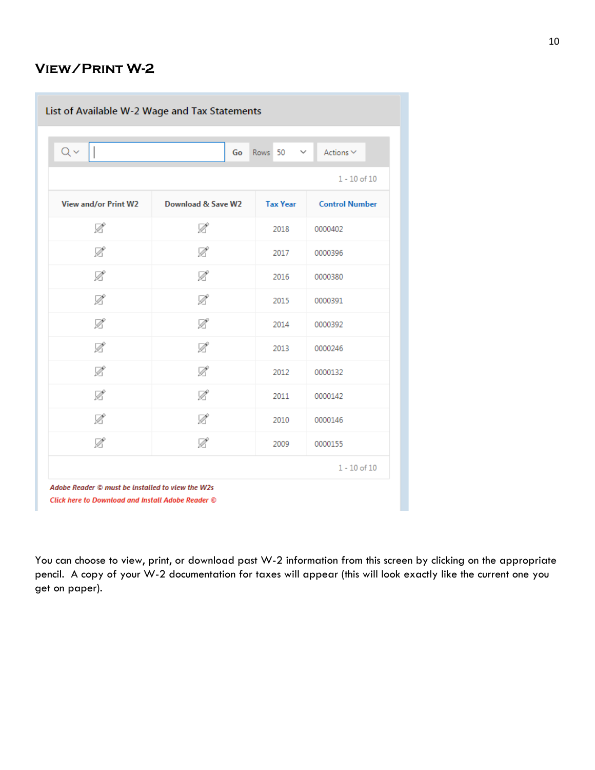## **View/Print W-2**

| List of Available W-2 Wage and Tax Statements |                    |                         |                       |  |  |  |  |
|-----------------------------------------------|--------------------|-------------------------|-----------------------|--|--|--|--|
| $Q \vee$                                      | Go                 | Rows 50<br>$\checkmark$ | Actions $\vee$        |  |  |  |  |
|                                               |                    |                         | $1 - 10$ of $10$      |  |  |  |  |
| <b>View and/or Print W2</b>                   | Download & Save W2 | <b>Tax Year</b>         | <b>Control Number</b> |  |  |  |  |
| Ø                                             | Ø                  | 2018                    | 0000402               |  |  |  |  |
| Ø                                             | Ø                  | 2017                    | 0000396               |  |  |  |  |
| Ø                                             | Ø                  | 2016                    | 0000380               |  |  |  |  |
| Ø                                             | Ø                  | 2015                    | 0000391               |  |  |  |  |
| Ø                                             | Ø                  | 2014                    | 0000392               |  |  |  |  |
| Ø                                             | Ø                  | 2013                    | 0000246               |  |  |  |  |
| Ø                                             | Ø                  | 2012                    | 0000132               |  |  |  |  |
| Ø                                             | Ø                  | 2011                    | 0000142               |  |  |  |  |
| Ø                                             | Ø                  | 2010                    | 0000146               |  |  |  |  |
| Ø                                             | Ø                  | 2009                    | 0000155               |  |  |  |  |
|                                               |                    |                         | $1 - 10$ of $10$      |  |  |  |  |

Adobe Reader  $\otimes$  must be installed to view the W2s Click here to Download and Install Adobe Reader ©

You can choose to view, print, or download past W-2 information from this screen by clicking on the appropriate pencil. A copy of your W-2 documentation for taxes will appear (this will look exactly like the current one you get on paper).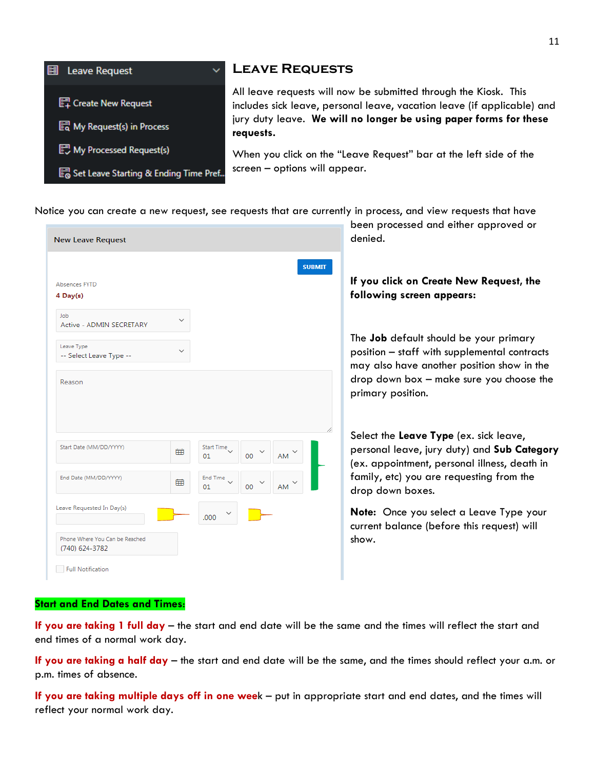

Notice you can create a new request, see requests that are currently in process, and view requests that have

| <b>New Leave Request</b>                         |   |                         |                 |                 |               |
|--------------------------------------------------|---|-------------------------|-----------------|-----------------|---------------|
|                                                  |   |                         |                 |                 | <b>SUBMIT</b> |
| Absences FYTD<br>4 Day(s)                        |   |                         |                 |                 |               |
| Job<br>Active - ADMIN SECRETARY                  |   |                         |                 |                 |               |
| Leave Type<br>-- Select Leave Type --            |   |                         |                 |                 |               |
| Reason                                           |   |                         |                 |                 |               |
| Start Date (MM/DD/YYYY)                          | 曲 | <b>Start Time</b><br>01 | 00 <sup>1</sup> | AM <sup>3</sup> |               |
| End Date (MM/DD/YYYY)                            | 曲 | <b>End Time</b><br>01   | $00\,$          | $AM$ $\sim$     |               |
| Leave Requested In Day(s)                        |   | .000                    |                 |                 |               |
| Phone Where You Can be Reached<br>(740) 624-3782 |   |                         |                 |                 |               |
| <b>Full Notification</b>                         |   |                         |                 |                 |               |

been processed and either approved or denied.

#### **If you click on Create New Request, the following screen appears:**

The **Job** default should be your primary position – staff with supplemental contracts may also have another position show in the drop down box – make sure you choose the primary position.

Select the **Leave Type** (ex. sick leave, personal leave, jury duty) and **Sub Category** (ex. appointment, personal illness, death in family, etc) you are requesting from the drop down boxes.

**Note:** Once you select a Leave Type your current balance (before this request) will show.

#### **Start and End Dates and Times**:

**If you are taking 1 full day** – the start and end date will be the same and the times will reflect the start and end times of a normal work day.

**If you are taking a half day** – the start and end date will be the same, and the times should reflect your a.m. or p.m. times of absence.

**If you are taking multiple days off in one wee**k – put in appropriate start and end dates, and the times will reflect your normal work day.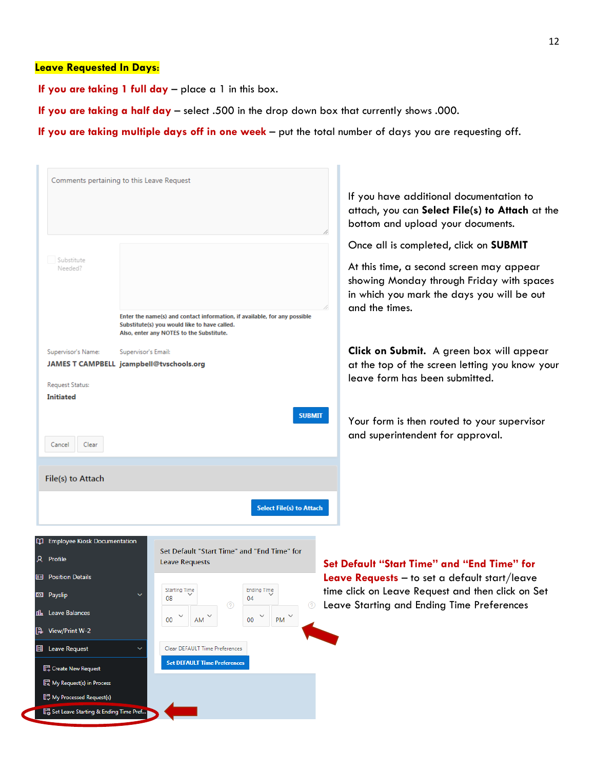#### **Leave Requested In Days**:

**If you are taking 1 full day** – place a 1 in this box.

**If you are taking a half day** – select .500 in the drop down box that currently shows .000.

**If you are taking multiple days off in one week** – put the total number of days you are requesting off.

| Comments pertaining to this Leave Request |                     |                                                                                                                                                                       |                                 | If you have additional documentation to<br>attach, you can Select File(s) to Attach at the<br>bottom and upload your documents.                       |
|-------------------------------------------|---------------------|-----------------------------------------------------------------------------------------------------------------------------------------------------------------------|---------------------------------|-------------------------------------------------------------------------------------------------------------------------------------------------------|
|                                           |                     |                                                                                                                                                                       |                                 | Once all is completed, click on <b>SUBMIT</b>                                                                                                         |
| Substitute<br>Needed?                     |                     | Enter the name(s) and contact information, if available, for any possible<br>Substitute(s) you would like to have called.<br>Also, enter any NOTES to the Substitute. |                                 | At this time, a second screen may appear<br>showing Monday through Friday with spaces<br>in which you mark the days you will be out<br>and the times. |
| Supervisor's Name:                        | Supervisor's Email: |                                                                                                                                                                       |                                 | Click on Submit. A green box will appear                                                                                                              |
| JAMES T CAMPBELL jcampbell@tvschools.org  |                     |                                                                                                                                                                       |                                 | at the top of the screen letting you know your                                                                                                        |
|                                           |                     |                                                                                                                                                                       |                                 | leave form has been submitted.                                                                                                                        |
| Request Status:                           |                     |                                                                                                                                                                       |                                 |                                                                                                                                                       |
| <b>Initiated</b>                          |                     |                                                                                                                                                                       |                                 |                                                                                                                                                       |
| Cancel<br>Clear                           |                     |                                                                                                                                                                       | <b>SUBMIT</b>                   | Your form is then routed to your supervisor<br>and superintendent for approval.                                                                       |
| File(s) to Attach                         |                     |                                                                                                                                                                       |                                 |                                                                                                                                                       |
|                                           |                     |                                                                                                                                                                       | <b>Select File(s) to Attach</b> |                                                                                                                                                       |
| <b>Q Employee Kiosk Documentation</b>     |                     |                                                                                                                                                                       |                                 |                                                                                                                                                       |
|                                           |                     | Set Default "Start Time" and "End Time" for                                                                                                                           |                                 |                                                                                                                                                       |
| R Profile                                 |                     | <b>Leave Requests</b>                                                                                                                                                 |                                 | Set Default "Start Time" and "End Time" for                                                                                                           |
| <b>B</b> Position Details                 |                     |                                                                                                                                                                       |                                 | <b>Leave Requests</b> $-$ to set a default start/leave                                                                                                |
| <b>2</b> Payslip                          |                     | <b>Starting Time</b><br><b>Ending Time</b><br>08<br>04<br>℗                                                                                                           |                                 | time click on Leave Request and then click on Set<br>Leave Starting and Ending Time Preferences                                                       |
| nh Leave Balances                         |                     | $00\,$<br><b>PM</b><br>AM<br>00                                                                                                                                       |                                 |                                                                                                                                                       |
| Pur View/Print W-2                        |                     |                                                                                                                                                                       |                                 |                                                                                                                                                       |
| <b>■</b> Leave Request                    | $\checkmark$        | Clear DEFAULT Time Preferences                                                                                                                                        |                                 |                                                                                                                                                       |
| <b>E</b> Create New Request               |                     | <b>Set DEFAULT Time Preferences</b>                                                                                                                                   |                                 |                                                                                                                                                       |
| My Request(s) in Process                  |                     |                                                                                                                                                                       |                                 |                                                                                                                                                       |
| <b>記</b> My Processed Request(s)          |                     |                                                                                                                                                                       |                                 |                                                                                                                                                       |
| Set Leave Starting & Ending Time Pref     |                     |                                                                                                                                                                       |                                 |                                                                                                                                                       |
|                                           |                     |                                                                                                                                                                       |                                 |                                                                                                                                                       |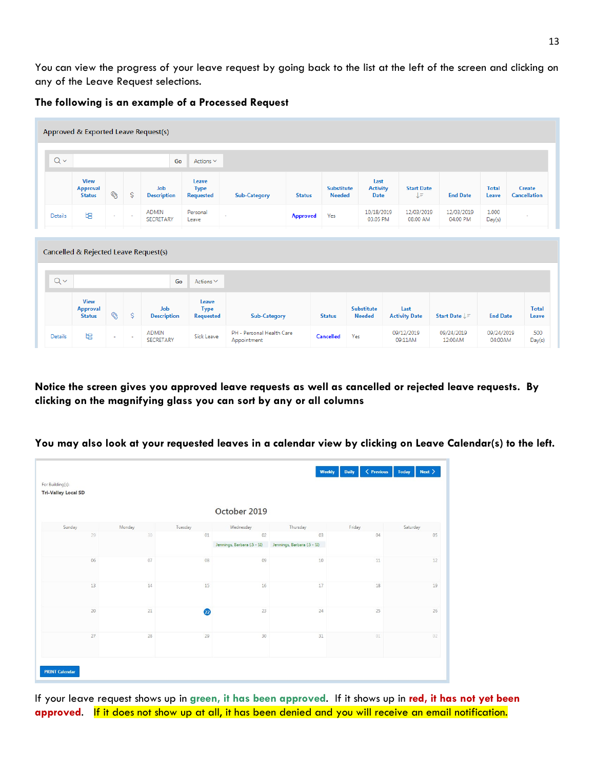You can view the progress of your leave request by going back to the list at the left of the screen and clicking on any of the Leave Request selections.

#### **The following is an example of a Processed Request**

|                | Approved & Exported Leave Request(s)            |               |                                        |                                          |                     |                 |                                    |                                        |                              |                              |                       |                               |
|----------------|-------------------------------------------------|---------------|----------------------------------------|------------------------------------------|---------------------|-----------------|------------------------------------|----------------------------------------|------------------------------|------------------------------|-----------------------|-------------------------------|
| $Q \vee$       |                                                 |               | Go                                     | Actions $\vee$                           |                     |                 |                                    |                                        |                              |                              |                       |                               |
|                | <b>View</b><br><b>Approval</b><br><b>Status</b> | $\mathscr{O}$ | \$<br>Job<br><b>Description</b>        | Leave<br><b>Type</b><br><b>Requested</b> | <b>Sub-Category</b> | <b>Status</b>   | <b>Substitute</b><br><b>Needed</b> | Last<br><b>Activity</b><br><b>Date</b> | <b>Start Date</b><br>JΞ      | <b>End Date</b>              | <b>Total</b><br>Leave | Create<br><b>Cancellation</b> |
| <b>Details</b> | 增                                               |               | <b>ADMIN</b>                           | Personal                                 | ٠                   | <b>Approved</b> | Yes                                | 10/18/2019                             | 12/03/2019                   | 12/03/2019                   | 1.000                 |                               |
|                |                                                 |               | <b>SECRETARY</b>                       | Leave                                    |                     |                 |                                    | 03:05 PM                               | 08:00 AM                     | 04:00 PM                     | Day(s)                |                               |
|                | Cancelled & Rejected Leave Request(s)           |               | Go                                     | Actions $\vee$                           |                     |                 |                                    |                                        |                              |                              |                       |                               |
| $Q \vee$       |                                                 |               |                                        |                                          |                     |                 |                                    |                                        |                              |                              |                       |                               |
|                | <b>View</b><br><b>Approval</b><br><b>Status</b> | $\mathcal{O}$ | \$<br><b>Job</b><br><b>Description</b> | Leave<br><b>Type</b><br><b>Requested</b> | <b>Sub-Category</b> |                 | <b>Status</b>                      | <b>Substitute</b><br><b>Needed</b>     | Last<br><b>Activity Date</b> | <b>Start Date</b> ↓ <i>=</i> | <b>End Date</b>       | <b>Total</b><br>Leave         |

**Notice the screen gives you approved leave requests as well as cancelled or rejected leave requests. By clicking on the magnifying glass you can sort by any or all columns**

**You may also look at your requested leaves in a calendar view by clicking on Leave Calendar(s) to the left.**

| Next ><br>$\langle$ Previous<br>Weekly<br><b>Daily</b><br><b>Today</b><br>For Building(s):<br><b>Tri-Valley Local SD</b> |        |         |                             |                             |        |          |  |  |
|--------------------------------------------------------------------------------------------------------------------------|--------|---------|-----------------------------|-----------------------------|--------|----------|--|--|
|                                                                                                                          |        |         | October 2019                |                             |        |          |  |  |
| Sunday                                                                                                                   | Monday | Tuesday | Wednesday                   | Thursday                    | Friday | Saturday |  |  |
| 29                                                                                                                       | 30     | 01      | 02                          | 03                          | 04     | 05       |  |  |
|                                                                                                                          |        |         | Jennings, Barbara {.5 - SI} | Jennings, Barbara {.5 - SI} |        |          |  |  |
| 06                                                                                                                       | 07     | 08      | 09                          | 10                          | $11\,$ | 12       |  |  |
| 13                                                                                                                       | 14     | 15      | 16                          | 17                          | 18     |          |  |  |
| 20                                                                                                                       | 21     | 22      | 23                          | 24                          | 25     | 26       |  |  |
| 27                                                                                                                       | 28     | 29      | 30                          | 31                          | 01     | 02       |  |  |

If your leave request shows up in **green, it has been approved**. If it shows up in **red, it has not yet been approved**. If it does not show up at all, it has been denied and you will receive an email notification.